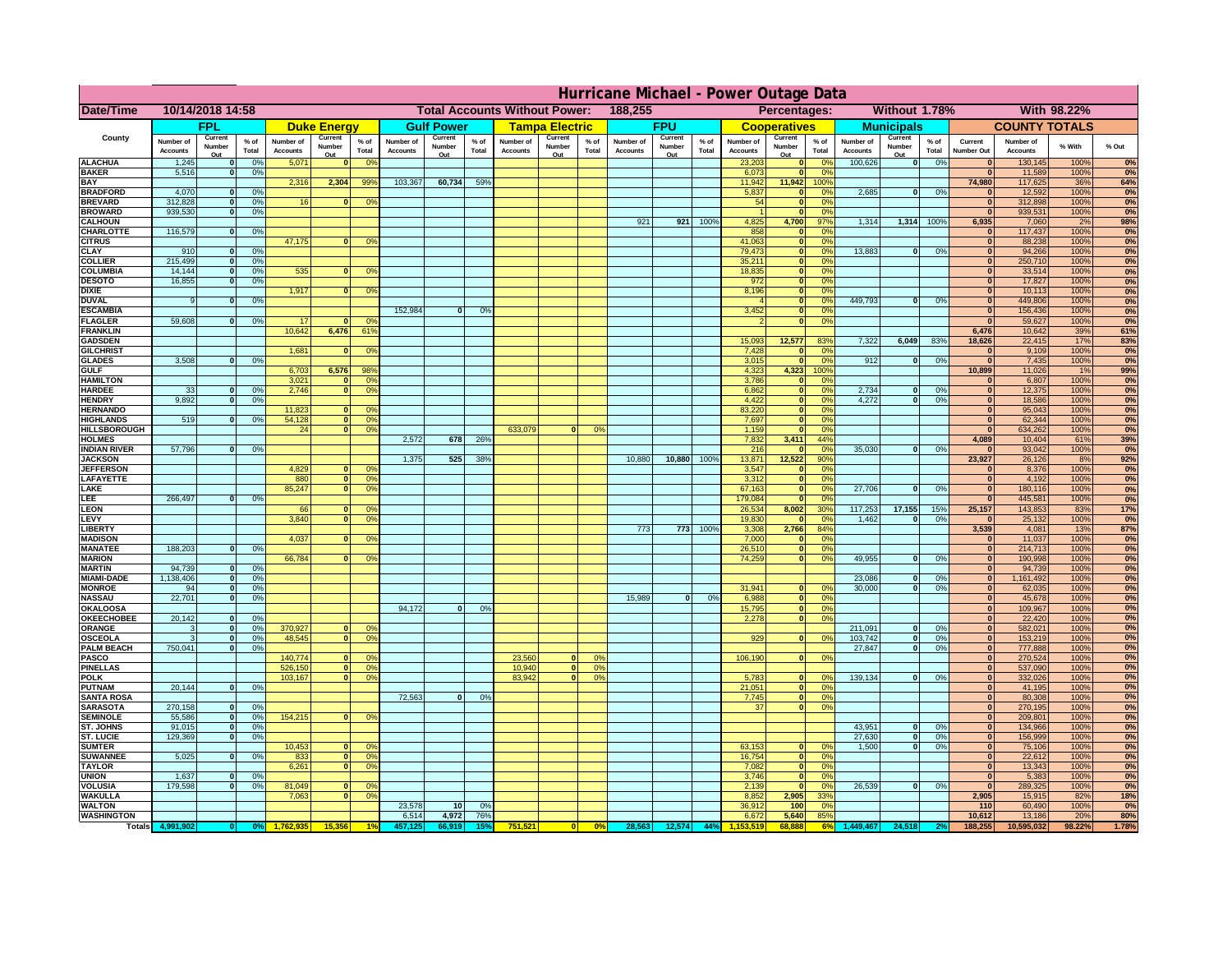|                                         | Hurricane Michael - Power Outage Data |                              |                                  |                              |                          |                                                 |                              |                   |                 |                              |                                                     |                      |                       |                   |                 |                              |                              |                                  |                              |                                  |                 |                              |                              |               |                  |
|-----------------------------------------|---------------------------------------|------------------------------|----------------------------------|------------------------------|--------------------------|-------------------------------------------------|------------------------------|-------------------|-----------------|------------------------------|-----------------------------------------------------|----------------------|-----------------------|-------------------|-----------------|------------------------------|------------------------------|----------------------------------|------------------------------|----------------------------------|-----------------|------------------------------|------------------------------|---------------|------------------|
| Date/Time                               | 10/14/2018 14:58                      |                              |                                  |                              |                          | 188,255<br><b>Total Accounts Without Power:</b> |                              |                   |                 |                              | Without 1.78%<br><b>With 98.22%</b><br>Percentages: |                      |                       |                   |                 |                              |                              |                                  |                              |                                  |                 |                              |                              |               |                  |
|                                         |                                       | FPL                          |                                  |                              | <b>Duke Energy</b>       |                                                 |                              | <b>Gulf Power</b> |                 |                              | <b>Tampa Electric</b>                               |                      |                       | <b>FPU</b>        |                 |                              | <b>Cooperatives</b>          |                                  |                              | <b>Municipals</b>                |                 |                              | <b>COUNTY TOTALS</b>         |               |                  |
| County                                  | Number of<br><b>Accounts</b>          | Current<br>Number            | $%$ of<br>Total                  | Number of<br><b>Accounts</b> | Current<br>Number        | $%$ of<br>Total                                 | Number of<br><b>Accounts</b> | Current<br>Number | $%$ of<br>Total | Number of<br><b>Accounts</b> | Current<br>Number                                   | $%$ of<br>Total      | Number of<br>Accounts | Current<br>Number | $%$ of<br>Total | Number of<br><b>Accounts</b> | Current<br>Number            | $%$ of<br>Total                  | Number of<br><b>Accounts</b> | Current<br>Number                | $%$ of<br>Total | Current<br><b>Number Out</b> | Number of<br><b>Accounts</b> | % With        | % Out            |
| <b>ALACHUA</b>                          | 1,245                                 | Out<br>$\mathbf{0}$          | 0%                               | 5,071                        | Out<br>$\mathbf{0}$      | 0 <sup>9</sup>                                  |                              | Out               |                 |                              | Out                                                 |                      |                       | Out               |                 | 23,203                       | Out<br>$\mathbf{0}$          | $\Omega$ <sup>c</sup>            | 100,626                      | Out<br> 0                        | 0%              | $\bf{0}$                     | 130,145                      | 100%          | 0%               |
| <b>BAKER</b>                            | 5,516                                 | $\mathbf{0}$                 | 0%                               |                              |                          |                                                 |                              |                   |                 |                              |                                                     |                      |                       |                   |                 | 6,073                        | $\mathbf{0}$                 | 0 <sup>9</sup>                   |                              |                                  |                 | $\bf{0}$                     | 11,589                       | 100%          | 0%               |
| <b>BAY</b><br><b>BRADFORD</b>           | 4,070                                 | $\mathbf{0}$                 | 0%                               | 2,316                        | 2,304                    | 99%                                             | 103,367                      | 60,734            | 59%             |                              |                                                     |                      |                       |                   |                 | 11,942<br>5,837              | 11,942<br>$\mathbf{0}$       | 100%<br>0 <sup>9</sup>           | 2,685                        | 0                                | 0%              | 74,980<br>$\bf{0}$           | 117,625<br>12,592            | 36%<br>100%   | 64%<br>0%        |
| <b>BREVARD</b>                          | 312,828                               | $\mathbf{0}$                 | 0%                               | 16                           | $\mathbf{0}$             | 0 <sup>o</sup>                                  |                              |                   |                 |                              |                                                     |                      |                       |                   |                 | 54                           | $\mathbf{0}$                 | 0 <sup>9</sup>                   |                              |                                  |                 | $\bf{0}$                     | 312,898                      | 100%          | 0%               |
| <b>BROWARD</b>                          | 939.530                               | $\Omega$                     | 0%                               |                              |                          |                                                 |                              |                   |                 |                              |                                                     |                      |                       |                   |                 |                              | $\Omega$                     | $^{\circ}$                       |                              |                                  |                 | $\bf{0}$                     | 939,531                      | 100%          | 0%               |
| <b>CALHOUN</b><br>CHARLOTTE             | 116,579                               | $\mathbf 0$                  | 0%                               |                              |                          |                                                 |                              |                   |                 |                              |                                                     |                      | 921                   | 921               | 100%            | 4,825<br>858                 | 4,700                        | 97%<br>0%                        | 1,314                        | 1,314                            | 100%            | 6,935<br>$\bf{0}$            | 7,060<br>117,437             | 2%<br>100%    | 98%<br>0%        |
| <b>CITRUS</b>                           |                                       |                              |                                  | 47,175                       | $\mathbf{0}$             | 0 <sup>o</sup>                                  |                              |                   |                 |                              |                                                     |                      |                       |                   |                 | 41,063                       | $\mathbf{0}$                 | $\Omega$ <sup>c</sup>            |                              |                                  |                 | $\bf{0}$                     | 88,238                       | 100%          | 0%               |
| <b>CLAY</b>                             | 910                                   | $\mathbf{0}$                 | 0%                               |                              |                          |                                                 |                              |                   |                 |                              |                                                     |                      |                       |                   |                 | 79,473                       | $\mathbf{0}$                 | 0 <sup>9</sup>                   | 13,883                       | 0                                | 0%              | $\mathbf{0}$                 | 94,266                       | 100%          | 0%               |
| <b>COLLIER</b><br><b>COLUMBIA</b>       | 215,499<br>14,144                     | $\mathbf{0}$<br>$\mathbf{0}$ | 0 <sup>9</sup><br>0 <sup>9</sup> | 535                          |                          | 0 <sup>9</sup>                                  |                              |                   |                 |                              |                                                     |                      |                       |                   |                 | 35,211<br>18,835             | $\mathbf{0}$<br>$\mathbf{0}$ | 0 <sup>9</sup><br>0 <sup>9</sup> |                              |                                  |                 | $\mathbf{0}$<br>$\bf{0}$     | 250,710<br>33,514            | 100%<br>100%  | 0%<br>0%         |
| <b>DESOTO</b>                           | 16,855                                | $\mathbf{0}$                 | 0%                               |                              |                          |                                                 |                              |                   |                 |                              |                                                     |                      |                       |                   |                 | 972                          | $\mathbf{0}$                 | 0 <sup>9</sup>                   |                              |                                  |                 | $\bf{0}$                     | 17,827                       | 100%          | 0%               |
| <b>DIXIE</b>                            |                                       |                              |                                  | 1,917                        | $\Omega$                 | 0 <sup>9</sup>                                  |                              |                   |                 |                              |                                                     |                      |                       |                   |                 | 8,196                        | $\mathbf{0}$                 | 0 <sup>9</sup>                   | 449.793                      |                                  |                 | $\bf{0}$                     | 10,113                       | 100%          | 0%               |
| <b>DUVAL</b><br><b>ESCAMBIA</b>         | 9                                     | $\Omega$                     | 0%                               |                              |                          |                                                 | 152,984                      | $\Omega$          | 0%              |                              |                                                     |                      |                       |                   |                 | 3,452                        | $\mathbf{0}$<br>$\mathbf{0}$ | 0 <sup>9</sup><br>0%             |                              | $\mathbf{0}$                     | 0%              | $\bf{0}$<br>$\bf{0}$         | 449,806<br>156,436           | 100%<br>100%  | 0%<br>0%         |
| <b>FLAGLER</b>                          | 59,608                                | $\mathbf{o}$                 | 0%                               | 17                           |                          | 0°                                              |                              |                   |                 |                              |                                                     |                      |                       |                   |                 |                              | $\mathbf{0}$                 | 0%                               |                              |                                  |                 | $\sqrt{2}$                   | 59,627                       | 100%          | 0%               |
| <b>FRANKLIN</b>                         |                                       |                              |                                  | 10,642                       | 6,476                    | 61%                                             |                              |                   |                 |                              |                                                     |                      |                       |                   |                 |                              |                              |                                  |                              |                                  |                 | 6,476                        | 10,642                       | 39%           | 61%              |
| <b>GADSDEN</b><br><b>GILCHRIST</b>      |                                       |                              |                                  | 1,681                        | $\mathbf{0}$             | 0 <sup>9</sup>                                  |                              |                   |                 |                              |                                                     |                      |                       |                   |                 | 15,093<br>7,428              | 12,577<br>$\mathbf{0}$       | 83%<br>0%                        | 7,322                        | 6,049                            | 83%             | 18,626<br>$\mathbf{0}$       | 22,415<br>9,109              | 17%<br>100%   | 83%<br>0%        |
| <b>GLADES</b>                           | 3,508                                 | nl                           | 0%                               |                              |                          |                                                 |                              |                   |                 |                              |                                                     |                      |                       |                   |                 | 3,015                        | $\Omega$                     | 0 <sup>9</sup>                   | 912                          | $\mathbf{0}$                     | 0%              | $\mathbf{0}$                 | 7,435                        | 100%          | 0%               |
| <b>GULF</b>                             |                                       |                              |                                  | 6,703                        | 6,576                    | 98%                                             |                              |                   |                 |                              |                                                     |                      |                       |                   |                 | 4,323                        | 4,323                        | 100%                             |                              |                                  |                 | 10,899                       | 11,026                       | 1%            | 99%              |
| <b>HAMILTON</b><br><b>HARDEE</b>        | 33                                    | $\mathbf{0}$                 | 0%                               | 3,021<br>2.746               | $\Omega$<br>$\Omega$     | 0 <sup>9</sup><br>0 <sup>9</sup>                |                              |                   |                 |                              |                                                     |                      |                       |                   |                 | 3,786<br>6.862               | $\Omega$<br>$\mathbf{0}$     | 0 <sup>9</sup><br>0%             | 2.734                        | $\mathbf{0}$                     | 0%              | $\bf{0}$<br>$\mathbf{0}$     | 6,807<br>12,375              | 100%<br>100%  | 0%<br>0%         |
| <b>HENDRY</b>                           | 9.892                                 | 0I                           | 0%                               |                              |                          |                                                 |                              |                   |                 |                              |                                                     |                      |                       |                   |                 | 4.422                        | $\overline{0}$               | 0%                               | 4.272                        | 0                                | 0%              | $\mathbf{0}$                 | 18,586                       | 100%          | 0%               |
| <b>HERNANDO</b>                         |                                       |                              |                                  | 11,823                       |                          | 0 <sup>9</sup>                                  |                              |                   |                 |                              |                                                     |                      |                       |                   |                 | 83,220                       | $\mathbf{0}$                 | 0%                               |                              |                                  |                 | $\mathbf{0}$                 | 95,043                       | 100%          | 0%               |
| <b>HIGHLANDS</b><br><b>HILLSBOROUGH</b> | 519                                   |                              | 0%                               | 54,128<br>24                 | 0 <br>$\overline{0}$     | 0 <sup>9</sup><br>0%                            |                              |                   |                 | 633,079                      |                                                     | 0%                   |                       |                   |                 | 7,697<br>1,159               | $\mathbf{0}$                 | 0%<br>0%                         |                              |                                  |                 | $\mathbf{0}$<br>$\bf{0}$     | 62,344<br>634,262            | 100%<br>100%  | 0%<br>0%         |
| <b>HOLMES</b>                           |                                       |                              |                                  |                              |                          |                                                 | 2,572                        | 678               | 26%             |                              |                                                     |                      |                       |                   |                 | 7,832                        | 3,411                        | 44%                              |                              |                                  |                 | 4,089                        | 10,404                       | 61%           | 39%              |
| <b>INDIAN RIVER</b>                     | 57,796                                | $\mathbf{0}$                 | 0%                               |                              |                          |                                                 |                              |                   |                 |                              |                                                     |                      |                       |                   |                 | 216                          |                              | 0 <sup>9</sup>                   | 35,030                       | $\mathbf{0}$                     | 0%              | $\mathbf{0}$                 | 93,042                       | 100%          | 0%               |
| <b>JACKSON</b><br><b>JEFFERSOI</b>      |                                       |                              |                                  | 4,829                        | n.                       | O <sup>9</sup>                                  | 1.375                        | 525               | 38 <sup>°</sup> |                              |                                                     |                      | 10,880                | 10,880            | 100%            | 13,871<br>3,547              | 12,522<br>$\mathbf{0}$       | 90%<br>0 <sup>9</sup>            |                              |                                  |                 | 23,927<br>$\bf{0}$           | 26,126<br>8,376              | 8%<br>100%    | 92%<br>0%        |
| <b>LAFAYETTE</b>                        |                                       |                              |                                  | 880                          | $\overline{0}$           | 0 <sup>9</sup>                                  |                              |                   |                 |                              |                                                     |                      |                       |                   |                 | 3,312                        | $\mathbf{0}$                 | 0%                               |                              |                                  |                 | $\mathbf{0}$                 | 4,192                        | 100%          | 0%               |
| LAKE                                    |                                       |                              |                                  | 85,247                       | $\Omega$                 | 0 <sup>9</sup>                                  |                              |                   |                 |                              |                                                     |                      |                       |                   |                 | 67,163                       | $\mathbf{0}$                 | 0 <sup>9</sup>                   | 27,706                       | $\Omega$                         | 0%              | $\mathbf{0}$                 | 180,116                      | 100%          | 0%               |
| LEE<br>LEON                             | 266,497                               | nl                           | 0%                               | 66                           |                          | 0 <sup>o</sup>                                  |                              |                   |                 |                              |                                                     |                      |                       |                   |                 | 179,084<br>26,534            | $\Omega$<br>8,002            | 0 <sup>9</sup><br>30%            | 117,253                      | 17,155                           | 15%             | $\mathbf{0}$<br>25,157       | 445,581<br>143,853           | 100%<br>83%   | 0%<br><b>17%</b> |
| LEVY                                    |                                       |                              |                                  | 3,840                        | $\Omega$                 | 0 <sup>9</sup>                                  |                              |                   |                 |                              |                                                     |                      |                       |                   |                 | 19,830                       |                              | 0 <sup>9</sup>                   | 1,462                        | $\bf{0}$                         | 0%              | $\mathbf{0}$                 | 25,132                       | 100%          | 0%               |
| LIBERTY                                 |                                       |                              |                                  |                              |                          |                                                 |                              |                   |                 |                              |                                                     |                      | 773                   | 773               | 100%            | 3,308                        | 2,766                        | 84%                              |                              |                                  |                 | 3,539                        | 4,081                        | 13%           | 87%              |
| <b>MADISON</b><br><b>MANATEE</b>        | 188,203                               | $\mathbf{0}$                 | 0%                               | 4,037                        |                          | 0 <sup>9</sup>                                  |                              |                   |                 |                              |                                                     |                      |                       |                   |                 | 7,000<br>26,510              |                              | 0%<br>0%                         |                              |                                  |                 | $\mathbf{0}$<br> 0           | 11,037<br>214,713            | 100%<br>100%  | 0%<br>0%         |
| <b>MARION</b>                           |                                       |                              |                                  | 66,784                       |                          | 0°                                              |                              |                   |                 |                              |                                                     |                      |                       |                   |                 | 74,259                       | $\Omega$                     | 0%                               | 49,955                       | $\mathbf{0}$                     | 0%              | 0                            | 190,998                      | 100%          | 0%               |
| <b>MARTIN</b>                           | 94,739                                | 0                            | 0%                               |                              |                          |                                                 |                              |                   |                 |                              |                                                     |                      |                       |                   |                 |                              |                              |                                  |                              |                                  |                 | 0                            | 94,739                       | 100%          | 0%               |
| <b>MIAMI-DADE</b><br><b>MONROE</b>      | 1,138,406<br>94                       | 0 <br> 0                     | 0%<br>0%                         |                              |                          |                                                 |                              |                   |                 |                              |                                                     |                      |                       |                   |                 | 31,941                       |                              | 0 <sup>o</sup>                   | 23,086<br>30,000             | $\Omega$<br>$\Omega$             | 0%<br>0%        | 0 <br>$\mathbf{0}$           | 1,161,492<br>62,035          | 100%<br>100%  | 0%<br>0%         |
| <b>NASSAU</b>                           | 22,701                                | 0                            | 0%                               |                              |                          |                                                 |                              |                   |                 |                              |                                                     |                      | 15,989                | 0                 | 0%              | 6,988                        | $\mathbf{0}$                 | 0 <sup>9</sup>                   |                              |                                  |                 | $\mathbf{0}$                 | 45,678                       | 100%          | 0%               |
| OKALOOS/                                |                                       |                              |                                  |                              |                          |                                                 | 94,172                       | $\mathbf{0}$      | 0%              |                              |                                                     |                      |                       |                   |                 | 15,795                       | 0                            | 0%                               |                              |                                  |                 | $\mathbf{0}$                 | 109,967                      | 100%          | 0%               |
| <b>OKEECHOBEE</b><br>ORANGE             | 20,142<br>3                           | 0 <br> 0                     | 0%<br>0%                         | 370,927                      | $\mathbf{0}$             | 0 <sup>o</sup>                                  |                              |                   |                 |                              |                                                     |                      |                       |                   |                 | 2,278                        | 0                            | 0%                               | 211,091                      | 0                                | 0%              | $\mathbf{0}$<br>$\mathbf{0}$ | 22,420<br>582,021            | 100%<br>100%  | 0%<br>0%         |
| <b>OSCEOLA</b>                          | 3                                     | <b>0</b>                     | 0%                               | 48,545                       | $\Omega$                 | 0 <sup>9</sup>                                  |                              |                   |                 |                              |                                                     |                      |                       |                   |                 | 929                          | $\Omega$                     | 0 <sup>9</sup>                   | 103,742                      | 0                                | 0%              | 0                            | 153,219                      | 100%          | 0%               |
| <b>PALM BEACH</b>                       | 750,041                               | 0                            | 0%                               |                              |                          |                                                 |                              |                   |                 |                              |                                                     |                      |                       |                   |                 |                              |                              |                                  | 27,847                       | $\mathbf{0}$                     | 0%              | $\mathbf{0}$<br>$\mathbf{0}$ | 777,888                      | 100%          | 0%               |
| PASCO<br><b>PINELLAS</b>                |                                       |                              |                                  | 140,774<br>526,150           | $\mathbf{0}$<br>$\Omega$ | 0 <sup>9</sup><br>0 <sup>9</sup>                |                              |                   |                 | 23,560<br>10,940             | $\Omega$<br> 0                                      | 0 <sup>9</sup><br>0% |                       |                   |                 | 106,190                      | 0                            | 0 <sup>9</sup>                   |                              |                                  |                 | $\mathbf{0}$                 | 270,524<br>537,090           | 100%<br>100%  | 0%<br>0%         |
| <b>POLK</b>                             |                                       |                              |                                  | 103,167                      | 0                        | 0 <sup>9</sup>                                  |                              |                   |                 | 83,942                       | 0                                                   | 0%                   |                       |                   |                 | 5,783                        | $\Omega$                     | no                               | 139,134                      | 0                                | 0%              | $\mathbf{0}$                 | 332,026                      | 100%          | 0%               |
| <b>PUTNAM</b>                           | 20,144                                | 0                            | 0%                               |                              |                          |                                                 |                              |                   |                 |                              |                                                     |                      |                       |                   |                 | 21,051                       | $\mathbf{0}$                 | 0 <sup>9</sup>                   |                              |                                  |                 | $\mathbf{0}$                 | 41,195                       | 100%          | 0%               |
| <b>SANTA ROSA</b><br><b>SARASOTA</b>    | 270,158                               | 0                            | 0%                               |                              |                          |                                                 | 72,563                       | 0                 | 0%              |                              |                                                     |                      |                       |                   |                 | 7,745<br>37                  | 0 <br>-ol                    | 0%<br>0%                         |                              |                                  |                 | $\mathbf{0}$<br>$\mathbf{0}$ | 80,308<br>270,195            | 100%<br>100%  | 0%<br>0%         |
| <b>SEMINOLE</b>                         | 55,586                                | 0                            | 0%                               | 154,215                      | $\mathbf{0}$             | 0 <sup>9</sup>                                  |                              |                   |                 |                              |                                                     |                      |                       |                   |                 |                              |                              |                                  |                              |                                  |                 | $\mathbf{0}$                 | 209,801                      | 100%          | 0%               |
| <b>ST. JOHNS</b>                        | 91,015                                | 0                            | 0%                               |                              |                          |                                                 |                              |                   |                 |                              |                                                     |                      |                       |                   |                 |                              |                              |                                  | 43,951                       | 0                                | 0%              | $\mathbf{0}$                 | 134,966                      | 100%          | 0%               |
| <b>ST. LUCIE</b><br><b>SUMTER</b>       | 129.369                               | $\mathbf{0}$                 | 0%                               | 10,453                       | $\mathbf{0}$             | 0 <sup>9</sup>                                  |                              |                   |                 |                              |                                                     |                      |                       |                   |                 | 63,153                       | $\mathbf{0}$                 | 0 <sup>o</sup>                   | 27,630<br>1.500              | $\overline{0}$<br>$\overline{0}$ | 0%<br>0%        | 0 <br>$\mathbf{0}$           | 156.999<br>75,106            | 100%<br>100%  | 0%<br>0%         |
| <b>SUWANNEE</b>                         | 5,025                                 | $\Omega$                     | 0%                               | 833                          | 0                        | 0 <sup>9</sup>                                  |                              |                   |                 |                              |                                                     |                      |                       |                   |                 | 16,754                       | $\mathbf{0}$                 | 0 <sup>9</sup>                   |                              |                                  |                 | $\mathbf{0}$                 | 22,612                       | 100%          | 0%               |
| <b>TAYLOR</b>                           |                                       |                              |                                  | 6,261                        | 0                        | 0 <sup>9</sup>                                  |                              |                   |                 |                              |                                                     |                      |                       |                   |                 | 7,082                        | $\mathbf{0}$                 | 0%                               |                              |                                  |                 | $\mathbf{0}$                 | 13,343                       | 100%          | 0%               |
| <b>UNION</b><br><b>VOLUSIA</b>          | 1,637<br>179,598                      | $\mathbf{0}$<br>$\mathbf{0}$ | 0%<br>0%                         | 81,049                       |                          | 0 <sup>9</sup>                                  |                              |                   |                 |                              |                                                     |                      |                       |                   |                 | 3,746<br>2,139               | $\mathbf{0}$                 | 0 <sup>9</sup><br>0 <sup>9</sup> | 26,539                       | 0                                | 0%              | $\mathbf{0}$<br>$\mathbf{0}$ | 5,383<br>289,325             | 100%<br>100%  | 0%<br>0%         |
| <b>WAKULLA</b>                          |                                       |                              |                                  | 7,063                        | $\bf{0}$                 | 0 <sup>9</sup>                                  |                              |                   |                 |                              |                                                     |                      |                       |                   |                 | 8,852                        | 2,905                        | 33%                              |                              |                                  |                 | 2,905                        | 15,915                       | 82%           | 18%              |
| <b>WALTON</b>                           |                                       |                              |                                  |                              |                          |                                                 | 23,578<br>6,514              | 10                | 0%              |                              |                                                     |                      |                       |                   |                 | 36,912                       | 100                          | 0 <sup>9</sup>                   |                              |                                  |                 | 110                          | 60,490                       | 100%          | 0%               |
| <b>WASHINGTON</b><br><b>Totals</b>      |                                       |                              |                                  |                              |                          |                                                 |                              | 4,972<br>66.919   | 76%             | 751,52                       |                                                     | 0%                   | 28,563                | 12,574            | 44%             | 6,672                        | 5,640<br>68.88               | 85%                              |                              |                                  |                 | 10,612<br>188,255            | 13,186<br>10,595,032         | 20%<br>98.22% | 80%<br>1.78%     |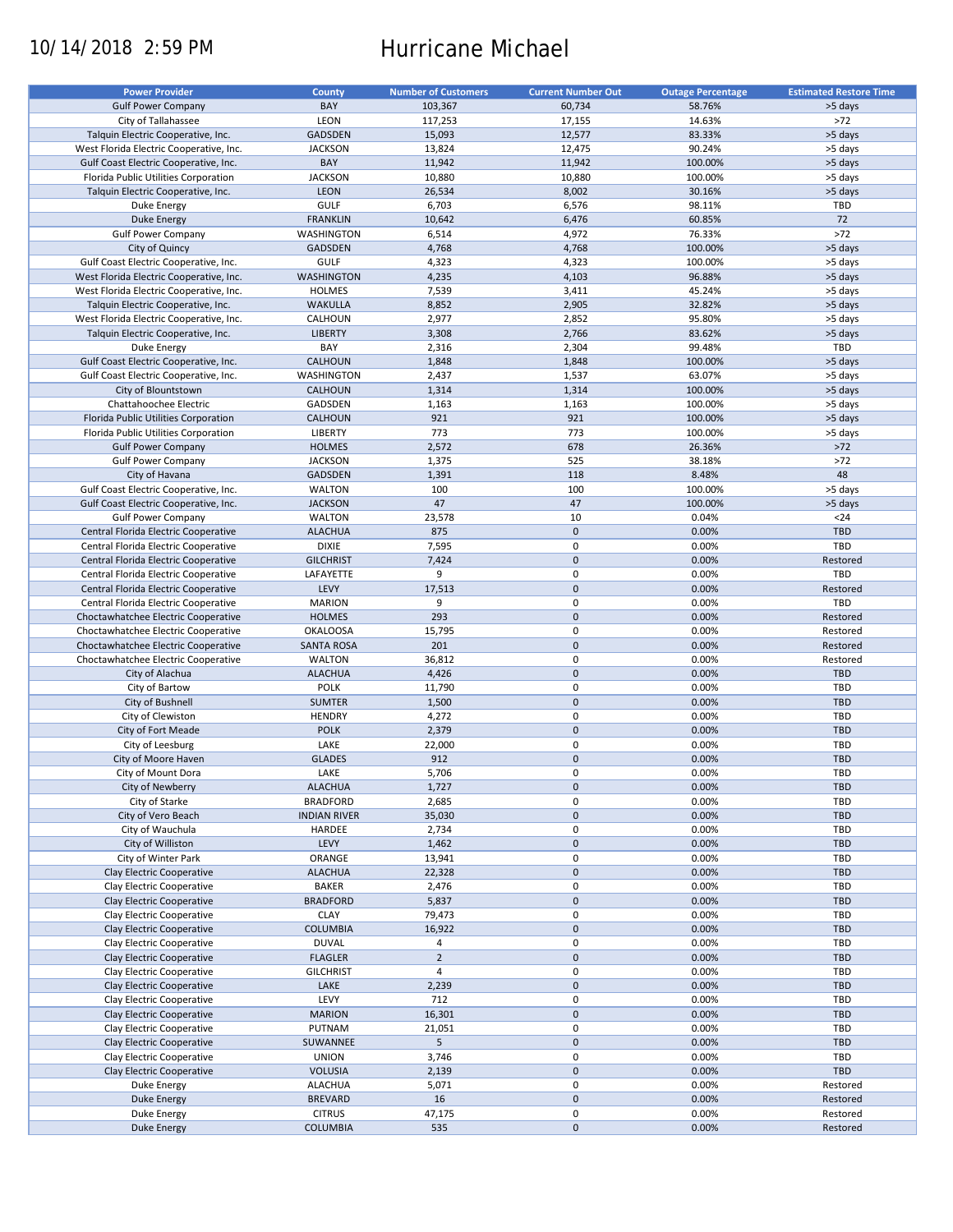# 10/14/2018 2:59 PM Hurricane Michael

| <b>Power Provider</b>                   | <b>County</b>       | <b>Number of Customers</b> | <b>Current Number Out</b> | <b>Outage Percentage</b> | <b>Estimated Restore Time</b> |
|-----------------------------------------|---------------------|----------------------------|---------------------------|--------------------------|-------------------------------|
| <b>Gulf Power Company</b>               | BAY                 | 103,367                    | 60,734                    | 58.76%                   | >5 days                       |
|                                         |                     |                            |                           |                          | $>72$                         |
| City of Tallahassee                     | LEON                | 117,253                    | 17,155                    | 14.63%                   |                               |
| Talquin Electric Cooperative, Inc.      | GADSDEN             | 15,093                     | 12,577                    | 83.33%                   | >5 days                       |
| West Florida Electric Cooperative, Inc. | <b>JACKSON</b>      | 13,824                     | 12,475                    | 90.24%                   | >5 days                       |
| Gulf Coast Electric Cooperative, Inc.   | BAY                 | 11,942                     | 11,942                    | 100.00%                  | >5 days                       |
| Florida Public Utilities Corporation    | <b>JACKSON</b>      | 10,880                     | 10,880                    | 100.00%                  | >5 days                       |
| Talquin Electric Cooperative, Inc.      | <b>LEON</b>         | 26,534                     | 8,002                     | 30.16%                   | >5 days                       |
| Duke Energy                             | <b>GULF</b>         | 6,703                      | 6,576                     | 98.11%                   | TBD                           |
| <b>Duke Energy</b>                      | <b>FRANKLIN</b>     | 10,642                     | 6,476                     | 60.85%                   | 72                            |
| <b>Gulf Power Company</b>               | WASHINGTON          | 6,514                      | 4,972                     | 76.33%                   | $>72$                         |
| City of Quincy                          | GADSDEN             | 4,768                      | 4,768                     | 100.00%                  | >5 days                       |
|                                         |                     |                            |                           | 100.00%                  |                               |
| Gulf Coast Electric Cooperative, Inc.   | <b>GULF</b>         | 4,323                      | 4,323                     |                          | >5 days                       |
| West Florida Electric Cooperative, Inc. | WASHINGTON          | 4,235                      | 4,103                     | 96.88%                   | >5 days                       |
| West Florida Electric Cooperative, Inc. | <b>HOLMES</b>       | 7,539                      | 3,411                     | 45.24%                   | >5 days                       |
| Talquin Electric Cooperative, Inc.      | WAKULLA             | 8,852                      | 2,905                     | 32.82%                   | >5 days                       |
| West Florida Electric Cooperative, Inc. | CALHOUN             | 2,977                      | 2,852                     | 95.80%                   | >5 days                       |
| Talquin Electric Cooperative, Inc.      | <b>LIBERTY</b>      | 3,308                      | 2,766                     | 83.62%                   | >5 days                       |
| Duke Energy                             | BAY                 | 2,316                      | 2,304                     | 99.48%                   | TBD                           |
| Gulf Coast Electric Cooperative, Inc.   | CALHOUN             | 1,848                      | 1,848                     | 100.00%                  | >5 days                       |
| Gulf Coast Electric Cooperative, Inc.   | WASHINGTON          | 2,437                      | 1,537                     | 63.07%                   | >5 days                       |
|                                         | <b>CALHOUN</b>      |                            | 1,314                     | 100.00%                  |                               |
| City of Blountstown                     |                     | 1,314                      |                           |                          | >5 days                       |
| Chattahoochee Electric                  | GADSDEN             | 1,163                      | 1,163                     | 100.00%                  | >5 days                       |
| Florida Public Utilities Corporation    | <b>CALHOUN</b>      | 921                        | 921                       | 100.00%                  | >5 days                       |
| Florida Public Utilities Corporation    | <b>LIBERTY</b>      | 773                        | 773                       | 100.00%                  | >5 days                       |
| <b>Gulf Power Company</b>               | <b>HOLMES</b>       | 2,572                      | 678                       | 26.36%                   | $>72$                         |
| <b>Gulf Power Company</b>               | <b>JACKSON</b>      | 1,375                      | 525                       | 38.18%                   | $>72$                         |
| City of Havana                          | <b>GADSDEN</b>      | 1,391                      | 118                       | 8.48%                    | 48                            |
| Gulf Coast Electric Cooperative, Inc.   | <b>WALTON</b>       | 100                        | 100                       | 100.00%                  | >5 days                       |
|                                         |                     |                            |                           |                          |                               |
| Gulf Coast Electric Cooperative, Inc.   | <b>JACKSON</b>      | 47                         | 47                        | 100.00%                  | >5 days                       |
| <b>Gulf Power Company</b>               | <b>WALTON</b>       | 23,578                     | 10                        | 0.04%                    | $24$                          |
| Central Florida Electric Cooperative    | <b>ALACHUA</b>      | 875                        | $\mathbf 0$               | 0.00%                    | TBD                           |
| Central Florida Electric Cooperative    | <b>DIXIE</b>        | 7,595                      | 0                         | 0.00%                    | TBD                           |
| Central Florida Electric Cooperative    | <b>GILCHRIST</b>    | 7,424                      | $\pmb{0}$                 | 0.00%                    | Restored                      |
| Central Florida Electric Cooperative    | LAFAYETTE           | 9                          | 0                         | 0.00%                    | <b>TBD</b>                    |
| Central Florida Electric Cooperative    | LEVY                | 17,513                     | $\pmb{0}$                 | 0.00%                    | Restored                      |
| Central Florida Electric Cooperative    | <b>MARION</b>       | 9                          | 0                         | 0.00%                    | TBD                           |
| Choctawhatchee Electric Cooperative     | <b>HOLMES</b>       | 293                        | $\pmb{0}$                 | 0.00%                    | Restored                      |
|                                         |                     |                            |                           |                          |                               |
| Choctawhatchee Electric Cooperative     | <b>OKALOOSA</b>     | 15,795                     | 0                         | 0.00%                    | Restored                      |
| Choctawhatchee Electric Cooperative     | <b>SANTA ROSA</b>   | 201                        | $\mathbf 0$               | 0.00%                    | Restored                      |
| Choctawhatchee Electric Cooperative     | <b>WALTON</b>       | 36,812                     | 0                         | 0.00%                    | Restored                      |
| City of Alachua                         | <b>ALACHUA</b>      | 4,426                      | $\pmb{0}$                 | 0.00%                    | <b>TBD</b>                    |
| City of Bartow                          | <b>POLK</b>         | 11,790                     | 0                         | 0.00%                    | TBD                           |
| City of Bushnell                        | <b>SUMTER</b>       | 1,500                      | $\mathbf 0$               | 0.00%                    | <b>TBD</b>                    |
| City of Clewiston                       | <b>HENDRY</b>       | 4,272                      | 0                         | 0.00%                    | TBD                           |
| City of Fort Meade                      | <b>POLK</b>         | 2,379                      | $\mathbf 0$               | 0.00%                    | <b>TBD</b>                    |
| City of Leesburg                        | LAKE                | 22,000                     | 0                         | 0.00%                    | TBD                           |
|                                         |                     |                            |                           |                          |                               |
| City of Moore Haven                     | <b>GLADES</b>       | 912                        | $\mathbf 0$               | 0.00%                    | <b>TBD</b>                    |
| City of Mount Dora                      | LAKE                | 5,706                      | 0                         | 0.00%                    | TBD                           |
| City of Newberry                        | <b>ALACHUA</b>      | 1,727                      | $\pmb{0}$                 | 0.00%                    | <b>TBD</b>                    |
| City of Starke                          | <b>BRADFORD</b>     | 2,685                      | 0                         | 0.00%                    | TBD                           |
| City of Vero Beach                      | <b>INDIAN RIVER</b> | 35,030                     | $\mathbf 0$               | 0.00%                    | <b>TBD</b>                    |
| City of Wauchula                        | HARDEE              | 2,734                      | 0                         | 0.00%                    | TBD                           |
| City of Williston                       | LEVY                | 1,462                      | $\pmb{0}$                 | 0.00%                    | <b>TBD</b>                    |
| City of Winter Park                     | ORANGE              | 13,941                     | 0                         | 0.00%                    | TBD                           |
| Clay Electric Cooperative               | <b>ALACHUA</b>      | 22,328                     | $\pmb{0}$                 | 0.00%                    | TBD                           |
|                                         |                     |                            |                           |                          |                               |
| Clay Electric Cooperative               | BAKER               | 2,476                      | 0                         | 0.00%                    | TBD                           |
| Clay Electric Cooperative               | <b>BRADFORD</b>     | 5,837                      | $\pmb{0}$                 | 0.00%                    | <b>TBD</b>                    |
| Clay Electric Cooperative               | <b>CLAY</b>         | 79,473                     | 0                         | 0.00%                    | TBD                           |
| Clay Electric Cooperative               | <b>COLUMBIA</b>     | 16,922                     | $\pmb{0}$                 | 0.00%                    | TBD                           |
| Clay Electric Cooperative               | <b>DUVAL</b>        | 4                          | 0                         | 0.00%                    | TBD                           |
| Clay Electric Cooperative               | <b>FLAGLER</b>      | $\overline{2}$             | $\pmb{0}$                 | 0.00%                    | <b>TBD</b>                    |
| Clay Electric Cooperative               | <b>GILCHRIST</b>    | 4                          | 0                         | 0.00%                    | TBD                           |
| Clay Electric Cooperative               | LAKE                | 2,239                      | $\pmb{0}$                 | 0.00%                    | <b>TBD</b>                    |
| Clay Electric Cooperative               | LEVY                | 712                        | 0                         | 0.00%                    | TBD                           |
|                                         |                     |                            |                           |                          |                               |
| Clay Electric Cooperative               | <b>MARION</b>       | 16,301                     | $\pmb{0}$                 | 0.00%                    | <b>TBD</b>                    |
| Clay Electric Cooperative               | PUTNAM              | 21,051                     | 0                         | 0.00%                    | TBD                           |
| Clay Electric Cooperative               | SUWANNEE            | 5                          | $\pmb{0}$                 | 0.00%                    | <b>TBD</b>                    |
| Clay Electric Cooperative               | <b>UNION</b>        | 3,746                      | 0                         | 0.00%                    | TBD                           |
| Clay Electric Cooperative               | <b>VOLUSIA</b>      | 2,139                      | $\pmb{0}$                 | 0.00%                    | TBD                           |
| Duke Energy                             | <b>ALACHUA</b>      | 5,071                      | 0                         | 0.00%                    | Restored                      |
| <b>Duke Energy</b>                      | <b>BREVARD</b>      | 16                         | $\mathbf 0$               | 0.00%                    | Restored                      |
| Duke Energy                             | <b>CITRUS</b>       | 47,175                     | 0                         | 0.00%                    | Restored                      |
|                                         | <b>COLUMBIA</b>     | 535                        | $\mathbf 0$               | 0.00%                    |                               |
| <b>Duke Energy</b>                      |                     |                            |                           |                          | Restored                      |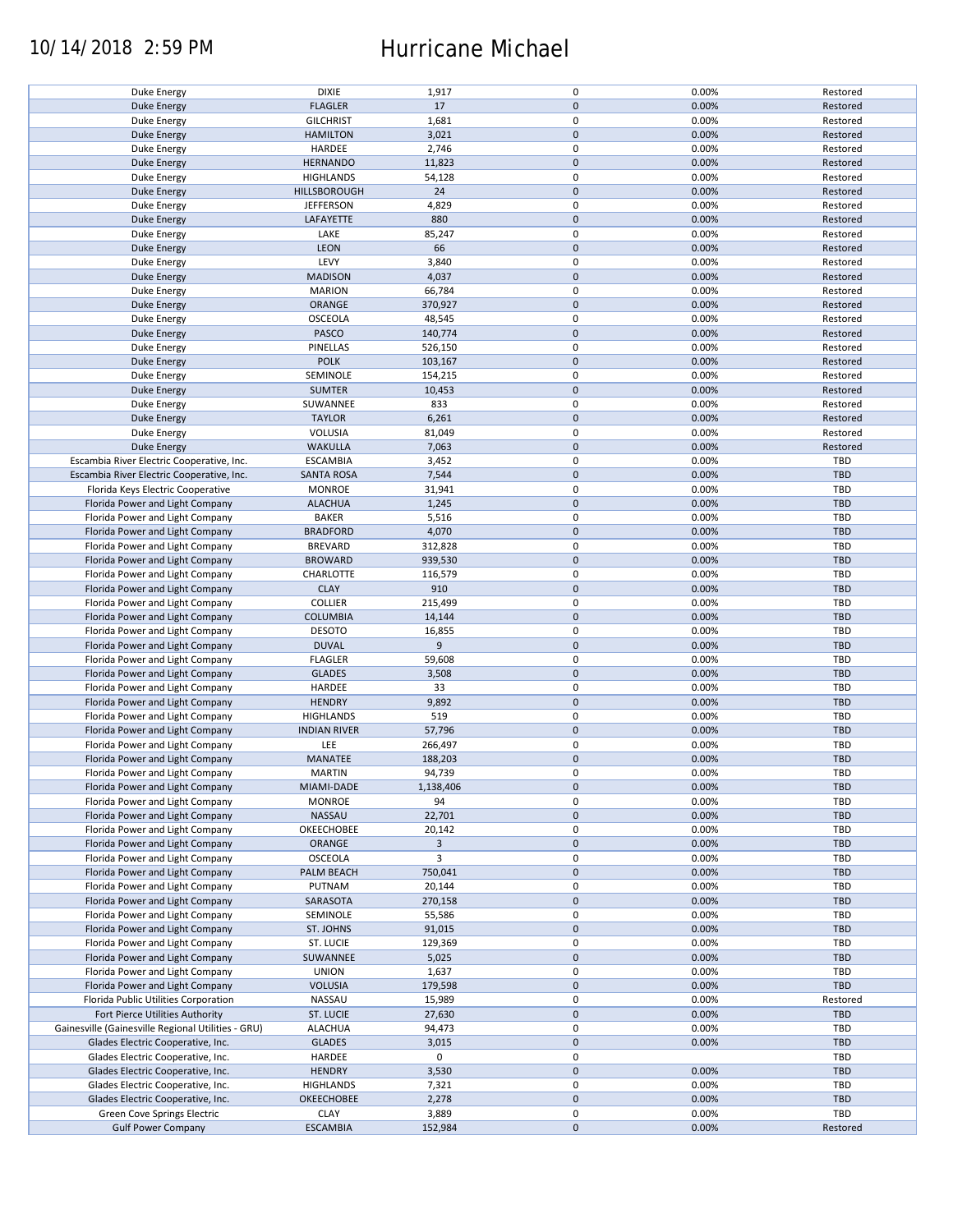## 10/14/2018 2:59 PM Hurricane Michael

| Duke Energy                                        | <b>DIXIE</b>        | 1,917     | 0           | 0.00% | Restored   |
|----------------------------------------------------|---------------------|-----------|-------------|-------|------------|
| <b>Duke Energy</b>                                 | <b>FLAGLER</b>      | 17        | $\pmb{0}$   | 0.00% | Restored   |
| Duke Energy                                        | <b>GILCHRIST</b>    | 1,681     | 0           | 0.00% | Restored   |
| <b>Duke Energy</b>                                 | <b>HAMILTON</b>     | 3,021     | $\mathbf 0$ | 0.00% | Restored   |
|                                                    |                     |           |             |       |            |
| Duke Energy                                        | HARDEE              | 2,746     | 0           | 0.00% | Restored   |
| <b>Duke Energy</b>                                 | <b>HERNANDO</b>     | 11,823    | $\pmb{0}$   | 0.00% | Restored   |
| Duke Energy                                        | <b>HIGHLANDS</b>    | 54,128    | 0           | 0.00% | Restored   |
|                                                    |                     |           | $\pmb{0}$   |       |            |
| <b>Duke Energy</b>                                 | HILLSBOROUGH        | 24        |             | 0.00% | Restored   |
| Duke Energy                                        | <b>JEFFERSON</b>    | 4,829     | $\mathbf 0$ | 0.00% | Restored   |
| <b>Duke Energy</b>                                 | LAFAYETTE           | 880       | $\mathbf 0$ | 0.00% | Restored   |
| Duke Energy                                        | LAKE                | 85,247    | $\mathbf 0$ | 0.00% | Restored   |
|                                                    |                     |           |             |       |            |
| <b>Duke Energy</b>                                 | LEON                | 66        | $\pmb{0}$   | 0.00% | Restored   |
| Duke Energy                                        | LEVY                | 3,840     | 0           | 0.00% | Restored   |
| Duke Energy                                        | <b>MADISON</b>      | 4,037     | $\pmb{0}$   | 0.00% | Restored   |
|                                                    |                     |           | 0           |       |            |
| Duke Energy                                        | <b>MARION</b>       | 66,784    |             | 0.00% | Restored   |
| <b>Duke Energy</b>                                 | ORANGE              | 370,927   | $\pmb{0}$   | 0.00% | Restored   |
| Duke Energy                                        | OSCEOLA             | 48,545    | 0           | 0.00% | Restored   |
| <b>Duke Energy</b>                                 | PASCO               | 140,774   | $\pmb{0}$   | 0.00% | Restored   |
|                                                    |                     |           |             |       |            |
| Duke Energy                                        | <b>PINELLAS</b>     | 526,150   | $\pmb{0}$   | 0.00% | Restored   |
| <b>Duke Energy</b>                                 | <b>POLK</b>         | 103,167   | $\pmb{0}$   | 0.00% | Restored   |
| Duke Energy                                        | SEMINOLE            | 154,215   | 0           | 0.00% | Restored   |
| <b>Duke Energy</b>                                 | <b>SUMTER</b>       | 10,453    | $\pmb{0}$   | 0.00% | Restored   |
|                                                    |                     |           |             |       |            |
| Duke Energy                                        | SUWANNEE            | 833       | $\pmb{0}$   | 0.00% | Restored   |
| <b>Duke Energy</b>                                 | <b>TAYLOR</b>       | 6,261     | $\mathbf 0$ | 0.00% | Restored   |
| Duke Energy                                        | VOLUSIA             | 81,049    | $\mathbf 0$ | 0.00% | Restored   |
|                                                    |                     |           |             |       |            |
| <b>Duke Energy</b>                                 | <b>WAKULLA</b>      | 7,063     | $\pmb{0}$   | 0.00% | Restored   |
| Escambia River Electric Cooperative, Inc.          | <b>ESCAMBIA</b>     | 3,452     | $\mathbf 0$ | 0.00% | TBD        |
| Escambia River Electric Cooperative, Inc.          | <b>SANTA ROSA</b>   | 7,544     | $\pmb{0}$   | 0.00% | <b>TBD</b> |
|                                                    | <b>MONROE</b>       | 31,941    | $\mathbf 0$ | 0.00% | <b>TBD</b> |
| Florida Keys Electric Cooperative                  |                     |           |             |       |            |
| Florida Power and Light Company                    | <b>ALACHUA</b>      | 1,245     | $\pmb{0}$   | 0.00% | <b>TBD</b> |
| Florida Power and Light Company                    | <b>BAKER</b>        | 5,516     | $\mathbf 0$ | 0.00% | TBD        |
| Florida Power and Light Company                    | <b>BRADFORD</b>     | 4,070     | $\pmb{0}$   | 0.00% | <b>TBD</b> |
|                                                    |                     |           |             |       |            |
| Florida Power and Light Company                    | <b>BREVARD</b>      | 312,828   | $\mathbf 0$ | 0.00% | TBD        |
| Florida Power and Light Company                    | <b>BROWARD</b>      | 939,530   | $\pmb{0}$   | 0.00% | <b>TBD</b> |
| Florida Power and Light Company                    | CHARLOTTE           | 116,579   | 0           | 0.00% | <b>TBD</b> |
|                                                    |                     |           | $\pmb{0}$   |       | <b>TBD</b> |
| Florida Power and Light Company                    | <b>CLAY</b>         | 910       |             | 0.00% |            |
| Florida Power and Light Company                    | <b>COLLIER</b>      | 215,499   | 0           | 0.00% | <b>TBD</b> |
| Florida Power and Light Company                    | <b>COLUMBIA</b>     | 14,144    | $\pmb{0}$   | 0.00% | <b>TBD</b> |
| Florida Power and Light Company                    | <b>DESOTO</b>       | 16,855    | 0           | 0.00% | TBD        |
|                                                    |                     |           |             |       |            |
| Florida Power and Light Company                    | <b>DUVAL</b>        | 9         | 0           | 0.00% | <b>TBD</b> |
| Florida Power and Light Company                    | <b>FLAGLER</b>      | 59,608    | 0           | 0.00% | TBD        |
| Florida Power and Light Company                    | <b>GLADES</b>       | 3,508     | $\mathbf 0$ | 0.00% | <b>TBD</b> |
| Florida Power and Light Company                    | HARDEE              | 33        | 0           | 0.00% | TBD        |
|                                                    |                     |           |             |       |            |
| Florida Power and Light Company                    | <b>HENDRY</b>       | 9,892     | $\pmb{0}$   | 0.00% | <b>TBD</b> |
| Florida Power and Light Company                    | <b>HIGHLANDS</b>    | 519       | 0           | 0.00% | TBD        |
| Florida Power and Light Company                    | <b>INDIAN RIVER</b> | 57,796    | $\mathbf 0$ | 0.00% | <b>TBD</b> |
|                                                    |                     |           |             |       |            |
| Florida Power and Light Company                    | LEE                 | 266,497   | 0           | 0.00% | TBD        |
| Florida Power and Light Company                    | MANATEE             | 188,203   | $\mathbf 0$ | 0.00% | <b>TBD</b> |
| Florida Power and Light Company                    | <b>MARTIN</b>       | 94,739    | $\mathbf 0$ | 0.00% | TBD        |
| Florida Power and Light Company                    | MIAMI-DADE          | 1,138,406 | $\pmb{0}$   | 0.00% | <b>TBD</b> |
|                                                    |                     |           |             |       |            |
| Florida Power and Light Company                    | <b>MONROE</b>       | 94        | 0           | 0.00% | TBD        |
| Florida Power and Light Company                    | NASSAU              | 22,701    | $\mathbf 0$ | 0.00% | <b>TBD</b> |
| Florida Power and Light Company                    | OKEECHOBEE          | 20,142    | 0           | 0.00% | TBD        |
| Florida Power and Light Company                    | ORANGE              | 3         | $\pmb{0}$   | 0.00% | <b>TBD</b> |
|                                                    |                     |           |             |       |            |
| Florida Power and Light Company                    | OSCEOLA             | 3         | 0           | 0.00% | TBD        |
| Florida Power and Light Company                    | PALM BEACH          | 750,041   | $\pmb{0}$   | 0.00% | <b>TBD</b> |
| Florida Power and Light Company                    | PUTNAM              | 20,144    | 0           | 0.00% | TBD        |
| Florida Power and Light Company                    |                     |           | $\pmb{0}$   | 0.00% | <b>TBD</b> |
|                                                    | SARASOTA            | 270,158   |             |       |            |
| Florida Power and Light Company                    | SEMINOLE            | 55,586    | 0           | 0.00% | TBD        |
| Florida Power and Light Company                    | ST. JOHNS           | 91,015    | $\mathbf 0$ | 0.00% | TBD        |
| Florida Power and Light Company                    | ST. LUCIE           | 129,369   | 0           | 0.00% | TBD        |
|                                                    |                     |           |             |       |            |
| Florida Power and Light Company                    | SUWANNEE            | 5,025     | 0           | 0.00% | <b>TBD</b> |
| Florida Power and Light Company                    | <b>UNION</b>        | 1,637     | 0           | 0.00% | TBD        |
| Florida Power and Light Company                    | <b>VOLUSIA</b>      | 179,598   | $\mathbf 0$ | 0.00% | <b>TBD</b> |
| Florida Public Utilities Corporation               | NASSAU              |           | 0           | 0.00% |            |
|                                                    |                     | 15,989    |             |       | Restored   |
| Fort Pierce Utilities Authority                    | ST. LUCIE           | 27,630    | $\pmb{0}$   | 0.00% | <b>TBD</b> |
| Gainesville (Gainesville Regional Utilities - GRU) | <b>ALACHUA</b>      | 94,473    | 0           | 0.00% | TBD        |
| Glades Electric Cooperative, Inc.                  | <b>GLADES</b>       | 3,015     | $\pmb{0}$   | 0.00% | <b>TBD</b> |
|                                                    |                     |           |             |       |            |
| Glades Electric Cooperative, Inc.                  | HARDEE              | 0         | $\pmb{0}$   |       | TBD        |
| Glades Electric Cooperative, Inc.                  | <b>HENDRY</b>       | 3,530     | $\pmb{0}$   | 0.00% | <b>TBD</b> |
| Glades Electric Cooperative, Inc.                  | <b>HIGHLANDS</b>    | 7,321     | 0           | 0.00% | TBD        |
|                                                    |                     | 2,278     | $\pmb{0}$   | 0.00% | TBD        |
| Glades Electric Cooperative, Inc.                  | OKEECHOBEE          |           |             |       |            |
| Green Cove Springs Electric                        | <b>CLAY</b>         | 3,889     | 0           | 0.00% | TBD        |
| <b>Gulf Power Company</b>                          | <b>ESCAMBIA</b>     | 152,984   | $\mathbf 0$ | 0.00% | Restored   |
|                                                    |                     |           |             |       |            |